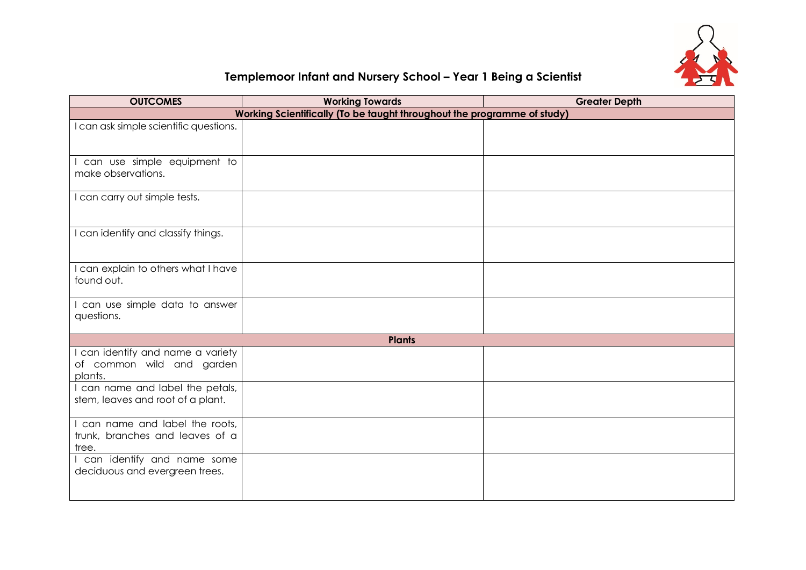

## **Templemoor Infant and Nursery School – Year 1 Being a Scientist**

| <b>OUTCOMES</b>                                                             | <b>Working Towards</b> | <b>Greater Depth</b> |  |  |
|-----------------------------------------------------------------------------|------------------------|----------------------|--|--|
| Working Scientifically (To be taught throughout the programme of study)     |                        |                      |  |  |
| I can ask simple scientific questions.                                      |                        |                      |  |  |
| I can use simple equipment to<br>make observations.                         |                        |                      |  |  |
| I can carry out simple tests.                                               |                        |                      |  |  |
| I can identify and classify things.                                         |                        |                      |  |  |
| I can explain to others what I have<br>found out.                           |                        |                      |  |  |
| I can use simple data to answer<br>questions.                               |                        |                      |  |  |
| <b>Plants</b>                                                               |                        |                      |  |  |
| I can identify and name a variety<br>of common wild and garden<br>plants.   |                        |                      |  |  |
| I can name and label the petals,<br>stem, leaves and root of a plant.       |                        |                      |  |  |
| I can name and label the roots,<br>trunk, branches and leaves of a<br>tree. |                        |                      |  |  |
| I can identify and name some<br>deciduous and evergreen trees.              |                        |                      |  |  |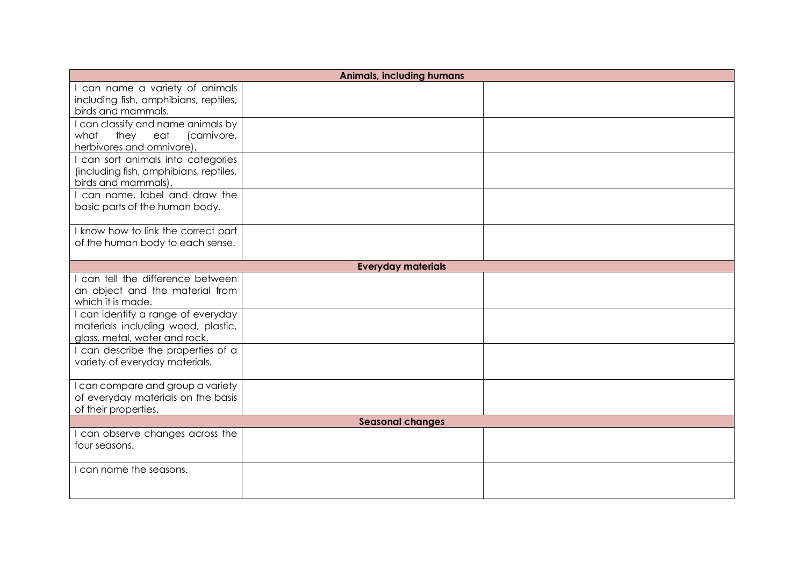| <b>Animals, including humans</b>                                                                          |  |  |  |  |
|-----------------------------------------------------------------------------------------------------------|--|--|--|--|
| I can name a variety of animals<br>including fish, amphibians, reptiles,<br>birds and mammals.            |  |  |  |  |
| I can classify and name animals by<br>they eat<br>(carnivore,<br>what<br>herbivores and omnivore).        |  |  |  |  |
| I can sort animals into categories<br>(including fish, amphibians, reptiles,<br>birds and mammals).       |  |  |  |  |
| I can name, label and draw the<br>basic parts of the human body.                                          |  |  |  |  |
| I know how to link the correct part<br>of the human body to each sense.                                   |  |  |  |  |
| <b>Everyday materials</b>                                                                                 |  |  |  |  |
| I can tell the difference between<br>an object and the material from<br>which it is made.                 |  |  |  |  |
| I can identify a range of everyday<br>materials including wood, plastic,<br>glass, metal, water and rock. |  |  |  |  |
| I can describe the properties of a<br>variety of everyday materials.                                      |  |  |  |  |
| I can compare and group a variety<br>of everyday materials on the basis<br>of their properties.           |  |  |  |  |
| <b>Seasonal changes</b>                                                                                   |  |  |  |  |
| I can observe changes across the<br>four seasons.                                                         |  |  |  |  |
| I can name the seasons.                                                                                   |  |  |  |  |